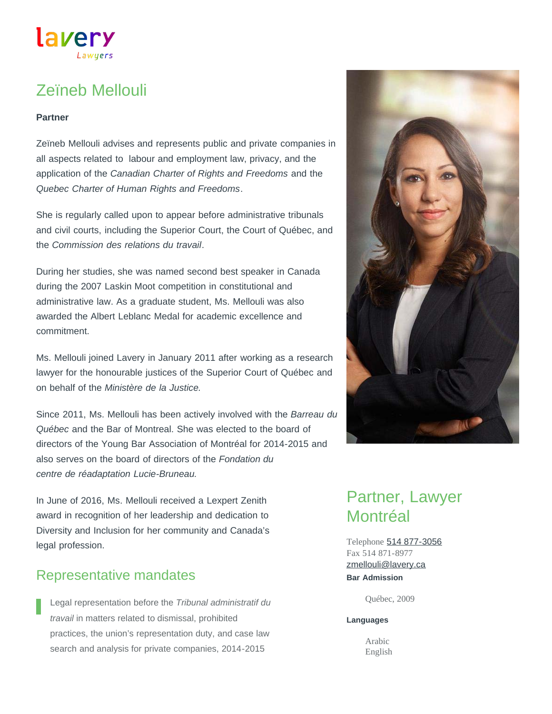# Zeïneb Mellouli

Lawuers

lavery

#### **Partner**

Zeïneb Mellouli advises and represents public and private companies in all aspects related to labour and employment law, privacy, and the application of the *Canadian Charter of Rights and Freedoms* and the *Quebec Charter of Human Rights and Freedoms*.

She is regularly called upon to appear before administrative tribunals and civil courts, including the Superior Court, the Court of Québec, and the *Commission des relations du travail*.

During her studies, she was named second best speaker in Canada during the 2007 Laskin Moot competition in constitutional and administrative law. As a graduate student, Ms. Mellouli was also awarded the Albert Leblanc Medal for academic excellence and commitment.

Ms. Mellouli joined Lavery in January 2011 after working as a research lawyer for the honourable justices of the Superior Court of Québec and on behalf of the *Ministère de la Justice.*

Since 2011, Ms. Mellouli has been actively involved with the *Barreau du Québec* and the Bar of Montreal. She was elected to the board of directors of the Young Bar Association of Montréal for 2014-2015 and also serves on the board of directors of the *Fondation du centre de réadaptation Lucie-Bruneau.*

In June of 2016, Ms. Mellouli received a Lexpert Zenith award in recognition of her leadership and dedication to Diversity and Inclusion for her community and Canada's legal profession.

#### Representative mandates

Legal representation before the *Tribunal administratif du travail* in matters related to dismissal, prohibited practices, the union's representation duty, and case law search and analysis for private companies, 2014-2015



## Partner, Lawyer Montréal

Telephone [514 877-3056](tel:514-877-3056) Fax 514 871-8977 **Bar Admission** [zmellouli@lavery.ca](mailto:zmellouli@lavery.ca)

Québec, 2009

#### **Languages**

Arabic English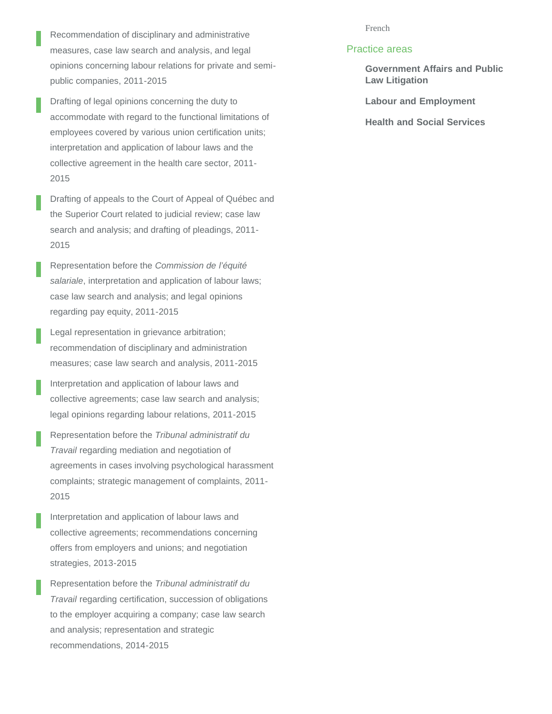- Recommendation of disciplinary and administrative measures, case law search and analysis, and legal opinions concerning labour relations for private and semipublic companies, 2011-2015
- Drafting of legal opinions concerning the duty to accommodate with regard to the functional limitations of employees covered by various union certification units; interpretation and application of labour laws and the collective agreement in the health care sector, 2011- 2015
- Drafting of appeals to the Court of Appeal of Québec and the Superior Court related to judicial review; case law search and analysis; and drafting of pleadings, 2011- 2015
- Representation before the *Commission de l'équité salariale*, interpretation and application of labour laws; case law search and analysis; and legal opinions regarding pay equity, 2011-2015
- Legal representation in grievance arbitration; recommendation of disciplinary and administration measures; case law search and analysis, 2011-2015
- Interpretation and application of labour laws and collective agreements; case law search and analysis; legal opinions regarding labour relations, 2011-2015
- Representation before the *Tribunal administratif du Travail* regarding mediation and negotiation of agreements in cases involving psychological harassment complaints; strategic management of complaints, 2011- 2015
- Interpretation and application of labour laws and collective agreements; recommendations concerning offers from employers and unions; and negotiation strategies, 2013-2015
- Representation before the *Tribunal administratif du Travail* regarding certification, succession of obligations to the employer acquiring a company; case law search and analysis; representation and strategic recommendations, 2014-2015

#### French

#### Practice areas

- **[Government Affairs and Public](https://www.lavery.ca/en/legal-services-expertise/279-government-affairs-and-public-law-litigation.html) [Law Litigation](https://www.lavery.ca/en/legal-services-expertise/279-government-affairs-and-public-law-litigation.html)**
- **[Labour and Employment](https://www.lavery.ca/en/legal-services-expertise/329-a-recognized-team-across-canada-of-more-than-forty-lawyers-in-labour-and-employment-law.html)**
- **[Health and Social Services](https://www.lavery.ca/en/legal-services-expertise/323-health-and-social-services.html)**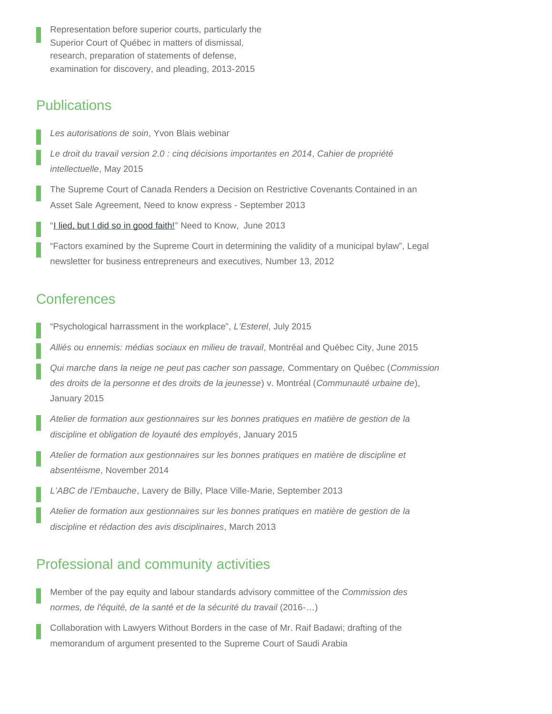Representation before superior courts, particularly the Superior Court of Québec in matters of dismissal, research, preparation of statements of defense, examination for discovery, and pleading, 2013-2015

### **Publications**

*Les autorisations de soin*, Yvon Blais webinar

*Le droit du travail version 2.0 : cinq décisions importantes en 2014*, *Cahier de propriété intellectuelle*, May 2015

The Supreme Court of Canada Renders a Decision on Restrictive Covenants Contained in an Asset Sale Agreement, Need to know express - September 2013

"[I lied, but I did so in good faith!](https://www.lavery.ca/publications/nos-publications/1654--jai-menti-mais-cetait-de-bonne-foi-1-.html)" Need to Know, June 2013

"Factors examined by the Supreme Court in determining the validity of a municipal bylaw", Legal newsletter for business entrepreneurs and executives, Number 13, 2012

### **Conferences**

"Psychological harrassment in the workplace", *L'Esterel*, July 2015

*Alliés ou ennemis: médias sociaux en milieu de travail*, Montréal and Québec City, June 2015

*Qui marche dans la neige ne peut pas cacher son passage,* Commentary on Québec (*Commission des droits de la personne et des droits de la jeunesse*) v. Montréal (*Communauté urbaine de*), January 2015

*Atelier de formation aux gestionnaires sur les bonnes pratiques en matière de gestion de la discipline et obligation de loyauté des employés*, January 2015

*Atelier de formation aux gestionnaires sur les bonnes pratiques en matière de discipline et absentéisme*, November 2014

*L'ABC de l'Embauche*, Lavery de Billy, Place Ville-Marie, September 2013

*Atelier de formation aux gestionnaires sur les bonnes pratiques en matière de gestion de la discipline et rédaction des avis disciplinaires*, March 2013

### Professional and community activities

Member of the pay equity and labour standards advisory committee of the *Commission des normes, de l'équité, de la santé et de la sécurité du travail* (2016-…)

Collaboration with Lawyers Without Borders in the case of Mr. Raif Badawi; drafting of the memorandum of argument presented to the Supreme Court of Saudi Arabia